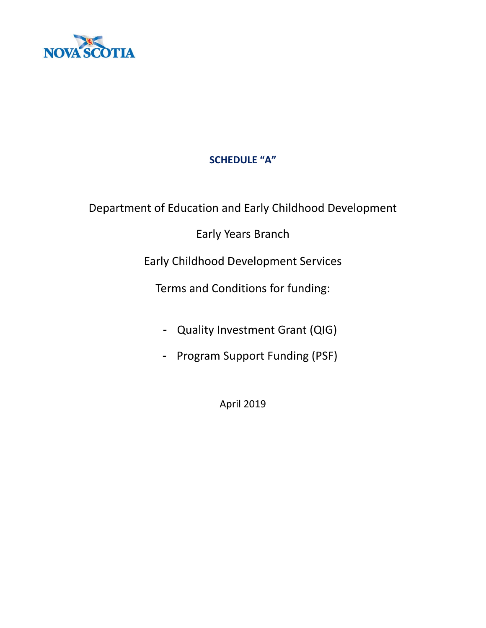

# **SCHEDULE "A"**

Department of Education and Early Childhood Development

Early Years Branch

Early Childhood Development Services

Terms and Conditions for funding:

- Quality Investment Grant (QIG)
- Program Support Funding (PSF)

April 2019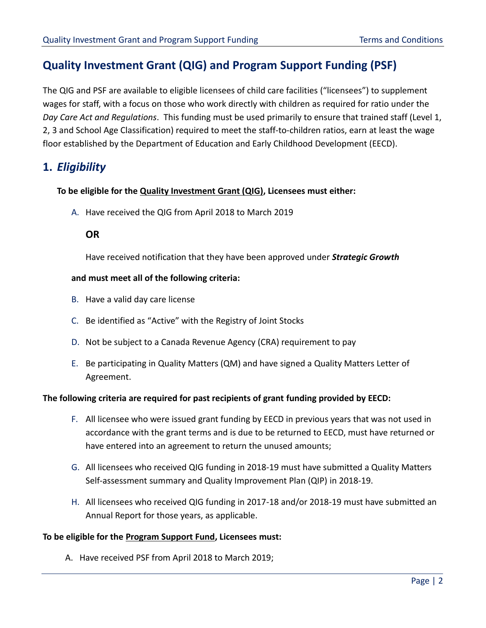# **Quality Investment Grant (QIG) and Program Support Funding (PSF)**

The QIG and PSF are available to eligible licensees of child care facilities ("licensees") to supplement wages for staff, with a focus on those who work directly with children as required for ratio under the *Day Care Act and Regulations*. This funding must be used primarily to ensure that trained staff (Level 1, 2, 3 and School Age Classification) required to meet the staff-to-children ratios, earn at least the wage floor established by the Department of Education and Early Childhood Development (EECD).

# **1.** *Eligibility*

## **To be eligible for the Quality Investment Grant (QIG), Licensees must either:**

A. Have received the QIG from April 2018 to March 2019

# **OR**

Have received notification that they have been approved under *Strategic Growth*

## **and must meet all of the following criteria:**

- B. Have a valid day care license
- C. Be identified as "Active" with the Registry of Joint Stocks
- D. Not be subject to a Canada Revenue Agency (CRA) requirement to pay
- E. Be participating in Quality Matters (QM) and have signed a Quality Matters Letter of Agreement.

### **The following criteria are required for past recipients of grant funding provided by EECD:**

- F. All licensee who were issued grant funding by EECD in previous years that was not used in accordance with the grant terms and is due to be returned to EECD, must have returned or have entered into an agreement to return the unused amounts;
- G. All licensees who received QIG funding in 2018-19 must have submitted a Quality Matters Self-assessment summary and Quality Improvement Plan (QIP) in 2018-19.
- H. All licensees who received QIG funding in 2017-18 and/or 2018-19 must have submitted an Annual Report for those years, as applicable.

### **To be eligible for the Program Support Fund, Licensees must:**

A. Have received PSF from April 2018 to March 2019;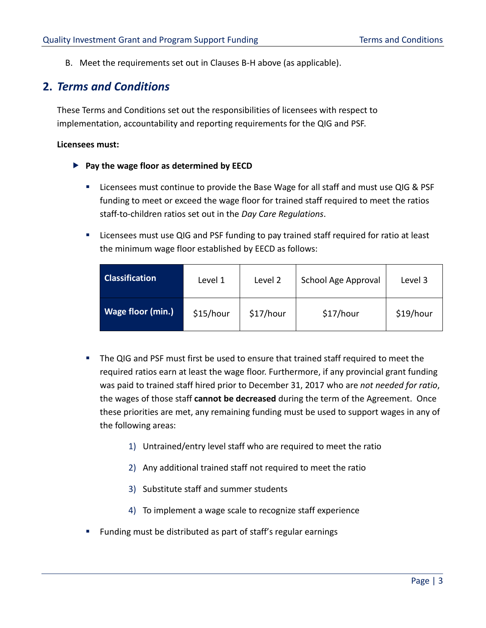B. Meet the requirements set out in Clauses B-H above (as applicable).

# **2.** *Terms and Conditions*

These Terms and Conditions set out the responsibilities of licensees with respect to implementation, accountability and reporting requirements for the QIG and PSF.

### **Licensees must:**

- **Pay the wage floor as determined by EECD**
	- Licensees must continue to provide the Base Wage for all staff and must use QIG & PSF funding to meet or exceed the wage floor for trained staff required to meet the ratios staff-to-children ratios set out in the *Day Care Regulations*.
	- Licensees must use QIG and PSF funding to pay trained staff required for ratio at least the minimum wage floor established by EECD as follows:

| <b>Classification</b> | Level 1   | Level 2   | School Age Approval | Level 3   |
|-----------------------|-----------|-----------|---------------------|-----------|
| Wage floor (min.)     | \$15/hour | \$17/hour | \$17/hour           | \$19/hour |

- The QIG and PSF must first be used to ensure that trained staff required to meet the required ratios earn at least the wage floor. Furthermore, if any provincial grant funding was paid to trained staff hired prior to December 31, 2017 who are *not needed for ratio*, the wages of those staff **cannot be decreased** during the term of the Agreement. Once these priorities are met, any remaining funding must be used to support wages in any of the following areas:
	- 1) Untrained/entry level staff who are required to meet the ratio
	- 2) Any additional trained staff not required to meet the ratio
	- 3) Substitute staff and summer students
	- 4) To implement a wage scale to recognize staff experience
- Funding must be distributed as part of staff's regular earnings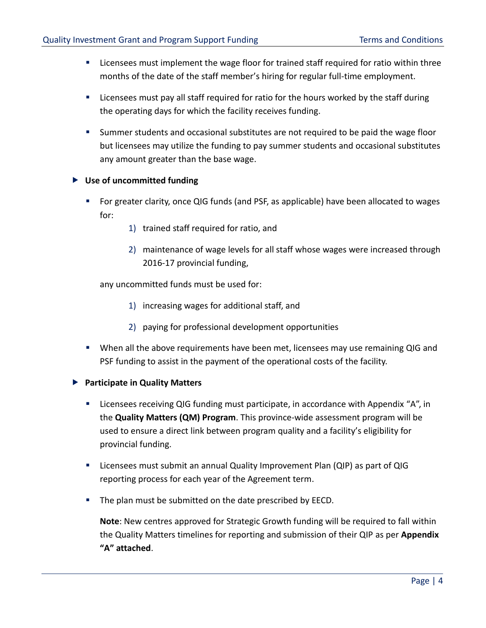- Licensees must implement the wage floor for trained staff required for ratio within three months of the date of the staff member's hiring for regular full-time employment.
- Licensees must pay all staff required for ratio for the hours worked by the staff during the operating days for which the facility receives funding.
- **EXEC** Summer students and occasional substitutes are not required to be paid the wage floor but licensees may utilize the funding to pay summer students and occasional substitutes any amount greater than the base wage.

# **Use of uncommitted funding**

- For greater clarity, once QIG funds (and PSF, as applicable) have been allocated to wages for:
	- 1) trained staff required for ratio, and
	- 2) maintenance of wage levels for all staff whose wages were increased through 2016-17 provincial funding,

any uncommitted funds must be used for:

- 1) increasing wages for additional staff, and
- 2) paying for professional development opportunities
- **■** When all the above requirements have been met, licensees may use remaining QIG and PSF funding to assist in the payment of the operational costs of the facility.
- **Participate in Quality Matters** 
	- Licensees receiving QIG funding must participate, in accordance with Appendix "A", in the **Quality Matters (QM) Program**. This province-wide assessment program will be used to ensure a direct link between program quality and a facility's eligibility for provincial funding.
	- Licensees must submit an annual Quality Improvement Plan (QIP) as part of QIG reporting process for each year of the Agreement term.
	- The plan must be submitted on the date prescribed by EECD.

**Note**: New centres approved for Strategic Growth funding will be required to fall within the Quality Matters timelines for reporting and submission of their QIP as per **Appendix "A" attached**.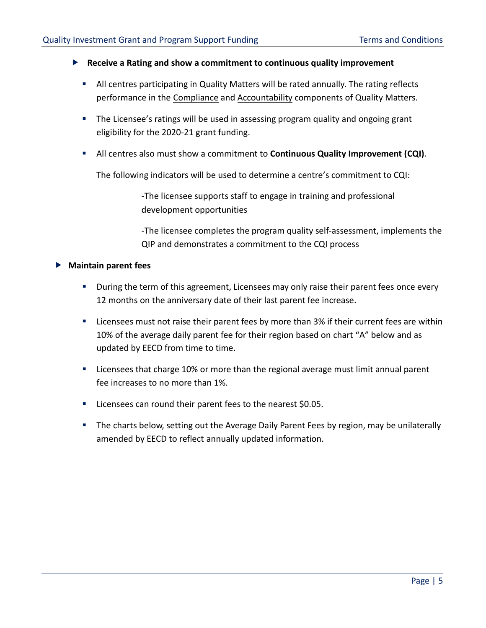- **Receive a Rating and show a commitment to continuous quality improvement**
	- All centres participating in Quality Matters will be rated annually. The rating reflects performance in the Compliance and Accountability components of Quality Matters.
	- **•** The Licensee's ratings will be used in assessing program quality and ongoing grant eligibility for the 2020-21 grant funding.
	- All centres also must show a commitment to **Continuous Quality Improvement (CQI)**.

The following indicators will be used to determine a centre's commitment to CQI:

-The licensee supports staff to engage in training and professional development opportunities

-The licensee completes the program quality self-assessment, implements the QIP and demonstrates a commitment to the CQI process

## **Maintain parent fees**

- **■** During the term of this agreement, Licensees may only raise their parent fees once every 12 months on the anniversary date of their last parent fee increase.
- Licensees must not raise their parent fees by more than 3% if their current fees are within 10% of the average daily parent fee for their region based on chart "A" below and as updated by EECD from time to time.
- Licensees that charge 10% or more than the regional average must limit annual parent fee increases to no more than 1%.
- Licensees can round their parent fees to the nearest \$0.05.
- The charts below, setting out the Average Daily Parent Fees by region, may be unilaterally amended by EECD to reflect annually updated information.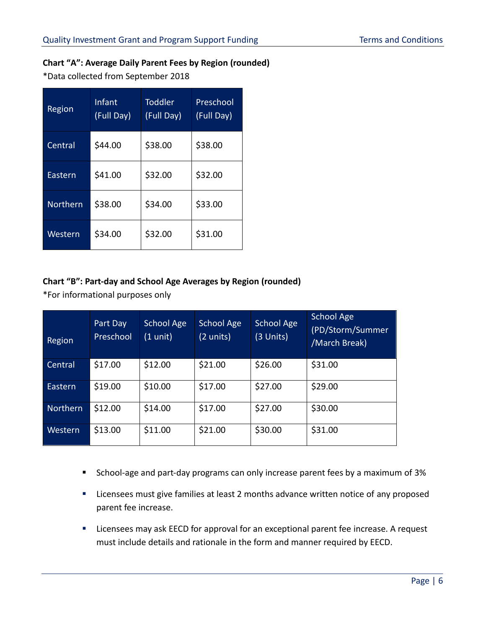# **Chart "A": Average Daily Parent Fees by Region (rounded)**

\*Data collected from September 2018

| Region   | Infant<br>(Full Day) | <b>Toddler</b><br>(Full Day) | Preschool<br>(Full Day) |
|----------|----------------------|------------------------------|-------------------------|
| Central  | \$44.00              | \$38.00                      | \$38.00                 |
| Eastern  | \$41.00              | \$32.00                      | \$32.00                 |
| Northern | \$38.00              | \$34.00                      | \$33.00                 |
| Western  | \$34.00              | \$32.00                      | \$31.00                 |

# **Chart "B": Part-day and School Age Averages by Region (rounded)**

\*For informational purposes only

| Region          | Part Day<br>Preschool | School Age<br>(1 unit) | School Age<br>(2 units) | School Age<br>(3 Units) | School Age<br>(PD/Storm/Summer<br>/March Break) |
|-----------------|-----------------------|------------------------|-------------------------|-------------------------|-------------------------------------------------|
| Central         | \$17.00               | \$12.00                | \$21.00                 | \$26.00                 | \$31.00                                         |
| Eastern         | \$19.00               | \$10.00                | \$17.00                 | \$27.00                 | \$29.00                                         |
| <b>Northern</b> | \$12.00               | \$14.00                | \$17.00                 | \$27.00                 | \$30.00                                         |
| Western         | \$13.00               | \$11.00                | \$21.00                 | \$30.00                 | \$31.00                                         |

- School-age and part-day programs can only increase parent fees by a maximum of 3%
- Licensees must give families at least 2 months advance written notice of any proposed parent fee increase.
- Licensees may ask EECD for approval for an exceptional parent fee increase. A request must include details and rationale in the form and manner required by EECD.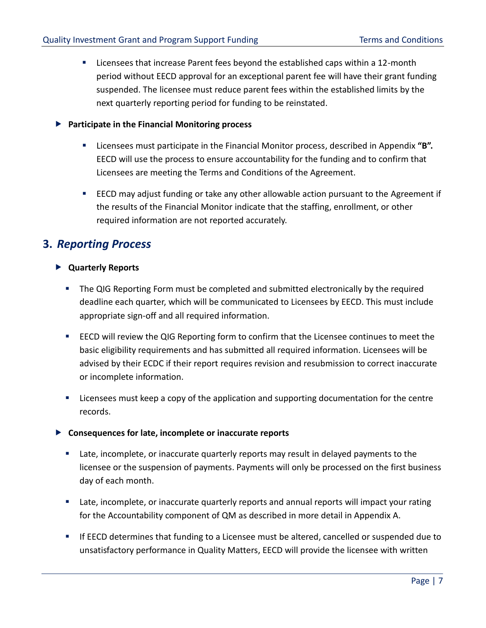Licensees that increase Parent fees beyond the established caps within a 12-month period without EECD approval for an exceptional parent fee will have their grant funding suspended. The licensee must reduce parent fees within the established limits by the next quarterly reporting period for funding to be reinstated.

## **Participate in the Financial Monitoring process**

- Licensees must participate in the Financial Monitor process, described in Appendix "**B".** EECD will use the process to ensure accountability for the funding and to confirm that Licensees are meeting the Terms and Conditions of the Agreement.
- **EECD may adjust funding or take any other allowable action pursuant to the Agreement if** the results of the Financial Monitor indicate that the staffing, enrollment, or other required information are not reported accurately.

# **3.** *Reporting Process*

# **Quarterly Reports**

- The QIG Reporting Form must be completed and submitted electronically by the required deadline each quarter, which will be communicated to Licensees by EECD. This must include appropriate sign-off and all required information.
- EECD will review the QIG Reporting form to confirm that the Licensee continues to meet the basic eligibility requirements and has submitted all required information. Licensees will be advised by their ECDC if their report requires revision and resubmission to correct inaccurate or incomplete information.
- Licensees must keep a copy of the application and supporting documentation for the centre records.

# **Consequences for late, incomplete or inaccurate reports**

- Late, incomplete, or inaccurate quarterly reports may result in delayed payments to the licensee or the suspension of payments. Payments will only be processed on the first business day of each month.
- Late, incomplete, or inaccurate quarterly reports and annual reports will impact your rating for the Accountability component of QM as described in more detail in Appendix A.
- **■** If EECD determines that funding to a Licensee must be altered, cancelled or suspended due to unsatisfactory performance in Quality Matters, EECD will provide the licensee with written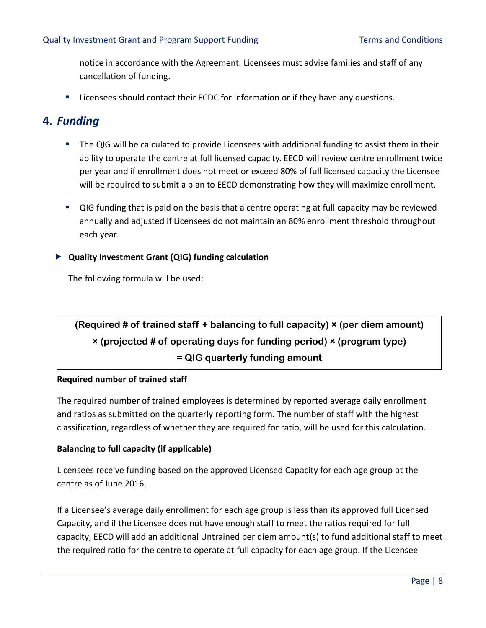notice in accordance with the Agreement. Licensees must advise families and staff of any cancellation of funding.

■ Licensees should contact their ECDC for information or if they have any questions.

# **4.** *Funding*

- The QIG will be calculated to provide Licensees with additional funding to assist them in their ability to operate the centre at full licensed capacity. EECD will review centre enrollment twice per year and if enrollment does not meet or exceed 80% of full licensed capacity the Licensee will be required to submit a plan to EECD demonstrating how they will maximize enrollment.
- QIG funding that is paid on the basis that a centre operating at full capacity may be reviewed annually and adjusted if Licensees do not maintain an 80% enrollment threshold throughout each year.

# **Quality Investment Grant (QIG) funding calculation**

The following formula will be used:

# **(Required # of trained staff + balancing to full capacity) × (per diem amount) × (projected # of operating days for funding period) × (program type) = QIG quarterly funding amount**

# **Required number of trained staff**

The required number of trained employees is determined by reported average daily enrollment and ratios as submitted on the quarterly reporting form. The number of staff with the highest classification, regardless of whether they are required for ratio, will be used for this calculation.

# **Balancing to full capacity (if applicable)**

Licensees receive funding based on the approved Licensed Capacity for each age group at the centre as of June 2016.

If a Licensee's average daily enrollment for each age group is less than its approved full Licensed Capacity, and if the Licensee does not have enough staff to meet the ratios required for full capacity, EECD will add an additional Untrained per diem amount(s) to fund additional staff to meet the required ratio for the centre to operate at full capacity for each age group. If the Licensee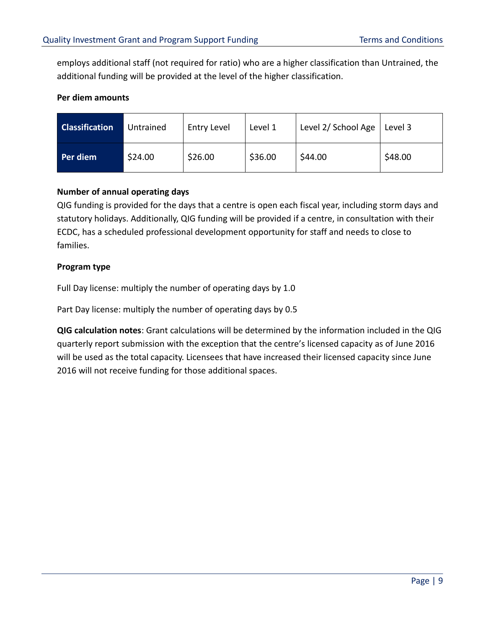employs additional staff (not required for ratio) who are a higher classification than Untrained, the additional funding will be provided at the level of the higher classification.

## **Per diem amounts**

| <b>Classification</b> | Untrained | <b>Entry Level</b> | Level 1 | Level 2/ School Age | Level 3 |
|-----------------------|-----------|--------------------|---------|---------------------|---------|
| Per diem              | \$24.00   | \$26.00            | \$36.00 | \$44.00             | \$48.00 |

# **Number of annual operating days**

QIG funding is provided for the days that a centre is open each fiscal year, including storm days and statutory holidays. Additionally, QIG funding will be provided if a centre, in consultation with their ECDC, has a scheduled professional development opportunity for staff and needs to close to families.

# **Program type**

Full Day license: multiply the number of operating days by 1.0

Part Day license: multiply the number of operating days by 0.5

**QIG calculation notes**: Grant calculations will be determined by the information included in the QIG quarterly report submission with the exception that the centre's licensed capacity as of June 2016 will be used as the total capacity. Licensees that have increased their licensed capacity since June 2016 will not receive funding for those additional spaces.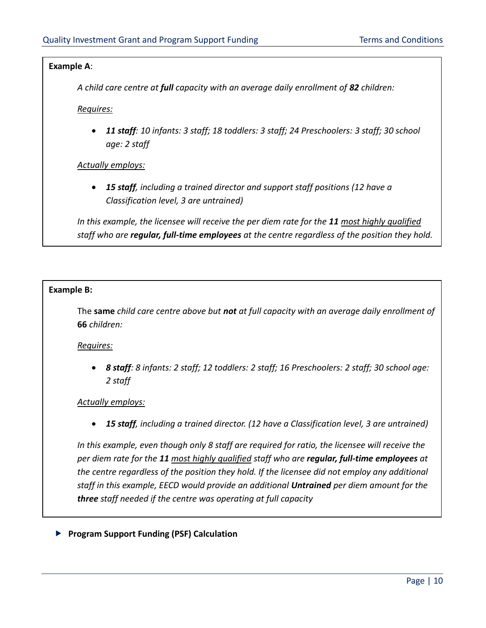## **Example A**:

*A child care centre at full capacity with an average daily enrollment of 82 children:* 

*Requires:*

• *11 staff: 10 infants: 3 staff; 18 toddlers: 3 staff; 24 Preschoolers: 3 staff; 30 school age: 2 staff*

*Actually employs:*

• *15 staff, including a trained director and support staff positions (12 have a Classification level, 3 are untrained)*

*In this example, the licensee will receive the per diem rate for the 11 most highly qualified staff who are regular, full-time employees at the centre regardless of the position they hold.* 

## **Example B:**

The **same** *child care centre above but not at full capacity with an average daily enrollment of*  **66** *children:*

*Requires:*

• *8 staff: 8 infants: 2 staff; 12 toddlers: 2 staff; 16 Preschoolers: 2 staff; 30 school age: 2 staff*

# *Actually employs:*

• *15 staff, including a trained director. (12 have a Classification level, 3 are untrained)*

*In this example, even though only 8 staff are required for ratio, the licensee will receive the per diem rate for the 11 most highly qualified staff who are regular, full-time employees at the centre regardless of the position they hold. If the licensee did not employ any additional staff in this example, EECD would provide an additional Untrained per diem amount for the three staff needed if the centre was operating at full capacity*

# **Program Support Funding (PSF) Calculation**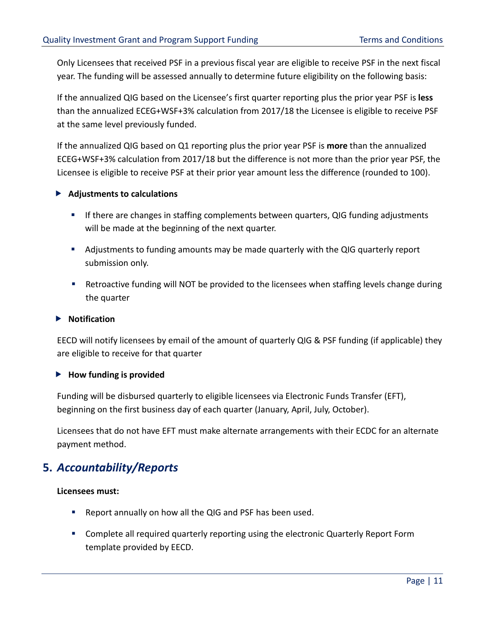Only Licensees that received PSF in a previous fiscal year are eligible to receive PSF in the next fiscal year. The funding will be assessed annually to determine future eligibility on the following basis:

If the annualized QIG based on the Licensee's first quarter reporting plus the prior year PSF is **less** than the annualized ECEG+WSF+3% calculation from 2017/18 the Licensee is eligible to receive PSF at the same level previously funded.

If the annualized QIG based on Q1 reporting plus the prior year PSF is **more** than the annualized ECEG+WSF+3% calculation from 2017/18 but the difference is not more than the prior year PSF, the Licensee is eligible to receive PSF at their prior year amount less the difference (rounded to 100).

# **Adjustments to calculations**

- **■** If there are changes in staffing complements between quarters, QIG funding adjustments will be made at the beginning of the next quarter.
- **E** Adjustments to funding amounts may be made quarterly with the QIG quarterly report submission only.
- **E** Retroactive funding will NOT be provided to the licensees when staffing levels change during the quarter

# **Notification**

EECD will notify licensees by email of the amount of quarterly QIG & PSF funding (if applicable) they are eligible to receive for that quarter

# **How funding is provided**

Funding will be disbursed quarterly to eligible licensees via Electronic Funds Transfer (EFT), beginning on the first business day of each quarter (January, April, July, October).

Licensees that do not have EFT must make alternate arrangements with their ECDC for an alternate payment method.

# **5.** *Accountability/Reports*

# **Licensees must:**

- Report annually on how all the QIG and PSF has been used.
- Complete all required quarterly reporting using the electronic Quarterly Report Form template provided by EECD.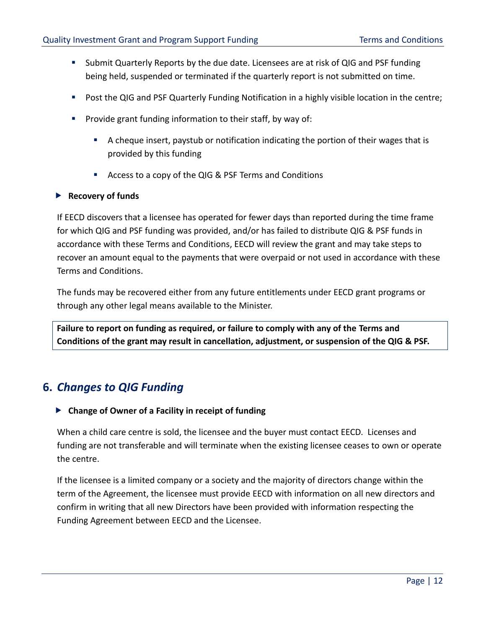- Submit Quarterly Reports by the due date. Licensees are at risk of QIG and PSF funding being held, suspended or terminated if the quarterly report is not submitted on time.
- Post the QIG and PSF Quarterly Funding Notification in a highly visible location in the centre;
- Provide grant funding information to their staff, by way of:
	- A cheque insert, paystub or notification indicating the portion of their wages that is provided by this funding
	- Access to a copy of the QIG & PSF Terms and Conditions

## **Recovery of funds**

If EECD discovers that a licensee has operated for fewer days than reported during the time frame for which QIG and PSF funding was provided, and/or has failed to distribute QIG & PSF funds in accordance with these Terms and Conditions, EECD will review the grant and may take steps to recover an amount equal to the payments that were overpaid or not used in accordance with these Terms and Conditions.

The funds may be recovered either from any future entitlements under EECD grant programs or through any other legal means available to the Minister.

**Failure to report on funding as required, or failure to comply with any of the Terms and Conditions of the grant may result in cancellation, adjustment, or suspension of the QIG & PSF.**

# **6.** *Changes to QIG Funding*

**Change of Owner of a Facility in receipt of funding**

When a child care centre is sold, the licensee and the buyer must contact EECD. Licenses and funding are not transferable and will terminate when the existing licensee ceases to own or operate the centre.

If the licensee is a limited company or a society and the majority of directors change within the term of the Agreement, the licensee must provide EECD with information on all new directors and confirm in writing that all new Directors have been provided with information respecting the Funding Agreement between EECD and the Licensee.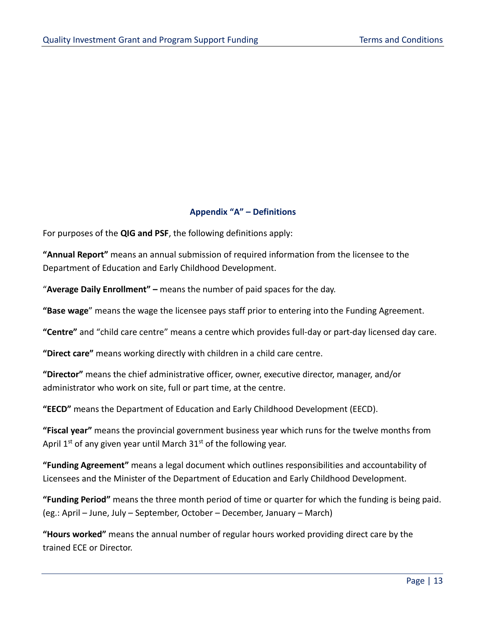# **Appendix "A" – Definitions**

For purposes of the **QIG and PSF**, the following definitions apply:

**"Annual Report"** means an annual submission of required information from the licensee to the Department of Education and Early Childhood Development.

"**Average Daily Enrollment" –** means the number of paid spaces for the day.

**"Base wage**" means the wage the licensee pays staff prior to entering into the Funding Agreement.

**"Centre"** and "child care centre" means a centre which provides full-day or part-day licensed day care.

**"Direct care"** means working directly with children in a child care centre.

**"Director"** means the chief administrative officer, owner, executive director, manager, and/or administrator who work on site, full or part time, at the centre.

**"EECD"** means the Department of Education and Early Childhood Development (EECD).

**"Fiscal year"** means the provincial government business year which runs for the twelve months from April  $1^{st}$  of any given year until March  $31^{st}$  of the following year.

**"Funding Agreement"** means a legal document which outlines responsibilities and accountability of Licensees and the Minister of the Department of Education and Early Childhood Development.

**"Funding Period"** means the three month period of time or quarter for which the funding is being paid. (eg.: April – June, July – September, October – December, January – March)

**"Hours worked"** means the annual number of regular hours worked providing direct care by the trained ECE or Director.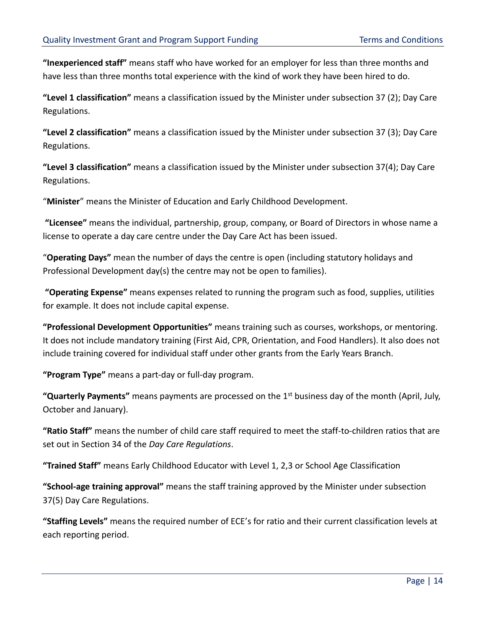**"Inexperienced staff"** means staff who have worked for an employer for less than three months and have less than three months total experience with the kind of work they have been hired to do.

**"Level 1 classification"** means a classification issued by the Minister under subsection 37 (2); Day Care Regulations.

**"Level 2 classification"** means a classification issued by the Minister under subsection 37 (3); Day Care Regulations.

**"Level 3 classification"** means a classification issued by the Minister under subsection 37(4); Day Care Regulations.

"**Minister**" means the Minister of Education and Early Childhood Development.

**"Licensee"** means the individual, partnership, group, company, or Board of Directors in whose name a license to operate a day care centre under the Day Care Act has been issued.

"**Operating Days"** mean the number of days the centre is open (including statutory holidays and Professional Development day(s) the centre may not be open to families).

**"Operating Expense"** means expenses related to running the program such as food, supplies, utilities for example. It does not include capital expense.

**"Professional Development Opportunities"** means training such as courses, workshops, or mentoring. It does not include mandatory training (First Aid, CPR, Orientation, and Food Handlers). It also does not include training covered for individual staff under other grants from the Early Years Branch.

**"Program Type"** means a part-day or full-day program.

**"Quarterly Payments"** means payments are processed on the 1st business day of the month (April, July, October and January).

**"Ratio Staff"** means the number of child care staff required to meet the staff-to-children ratios that are set out in Section 34 of the *Day Care Regulations*.

**"Trained Staff"** means Early Childhood Educator with Level 1, 2,3 or School Age Classification

**"School-age training approval"** means the staff training approved by the Minister under subsection 37(5) Day Care Regulations.

**"Staffing Levels"** means the required number of ECE's for ratio and their current classification levels at each reporting period.